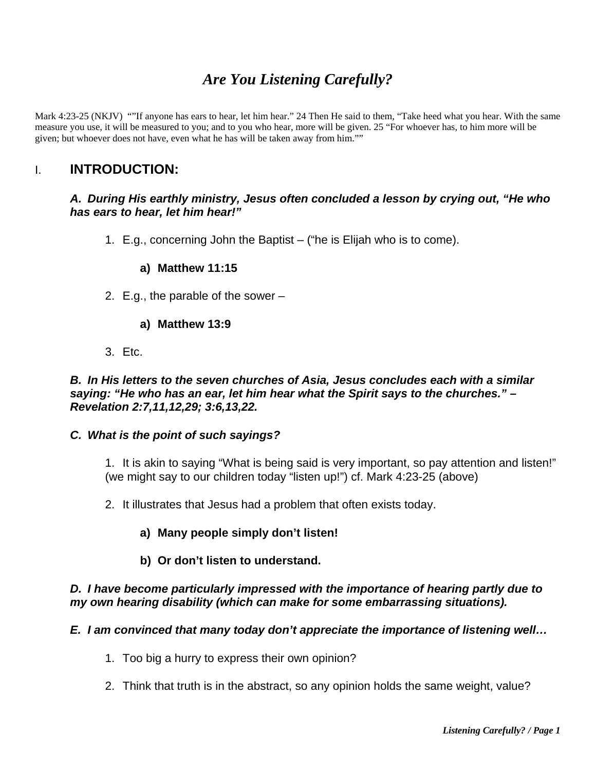# *Are You Listening Carefully?*

Mark 4:23-25 (NKJV) ""If anyone has ears to hear, let him hear." 24 Then He said to them, "Take heed what you hear. With the same measure you use, it will be measured to you; and to you who hear, more will be given. 25 "For whoever has, to him more will be given; but whoever does not have, even what he has will be taken away from him.""

# I. **INTRODUCTION:**

#### *A. During His earthly ministry, Jesus often concluded a lesson by crying out, "He who has ears to hear, let him hear!"*

1. E.g., concerning John the Baptist – ("he is Elijah who is to come).

#### **a) Matthew 11:15**

2. E.g., the parable of the sower –

#### **a) Matthew 13:9**

3. Etc.

*B. In His letters to the seven churches of Asia, Jesus concludes each with a similar saying: "He who has an ear, let him hear what the Spirit says to the churches." – Revelation 2:7,11,12,29; 3:6,13,22.* 

#### *C. What is the point of such sayings?*

1. It is akin to saying "What is being said is very important, so pay attention and listen!" (we might say to our children today "listen up!") cf. Mark 4:23-25 (above)

- 2. It illustrates that Jesus had a problem that often exists today.
	- **a) Many people simply don't listen!**
	- **b) Or don't listen to understand.**

#### *D. I have become particularly impressed with the importance of hearing partly due to my own hearing disability (which can make for some embarrassing situations).*

# *E. I am convinced that many today don't appreciate the importance of listening well…*

- 1. Too big a hurry to express their own opinion?
- 2. Think that truth is in the abstract, so any opinion holds the same weight, value?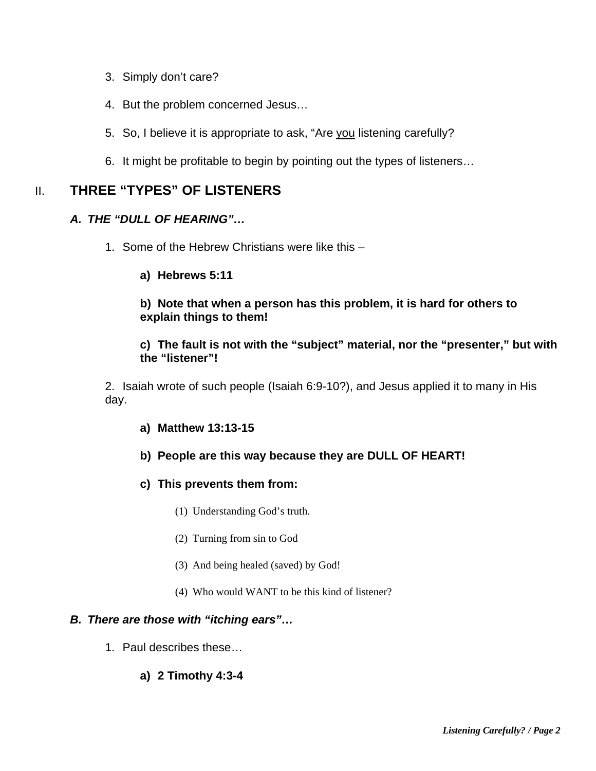- 3. Simply don't care?
- 4. But the problem concerned Jesus…
- 5. So, I believe it is appropriate to ask, "Are you listening carefully?
- 6. It might be profitable to begin by pointing out the types of listeners…

# II. **THREE "TYPES" OF LISTENERS**

# *A. THE "DULL OF HEARING"…*

- 1. Some of the Hebrew Christians were like this
	- **a) Hebrews 5:11**

#### **b) Note that when a person has this problem, it is hard for others to explain things to them!**

#### **c) The fault is not with the "subject" material, nor the "presenter," but with the "listener"!**

2. Isaiah wrote of such people (Isaiah 6:9-10?), and Jesus applied it to many in His day.

- **a) Matthew 13:13-15**
- **b) People are this way because they are DULL OF HEART!**
- **c) This prevents them from:** 
	- (1) Understanding God's truth.
	- (2) Turning from sin to God
	- (3) And being healed (saved) by God!
	- (4) Who would WANT to be this kind of listener?

# *B. There are those with "itching ears"…*

1. Paul describes these…

#### **a) 2 Timothy 4:3-4**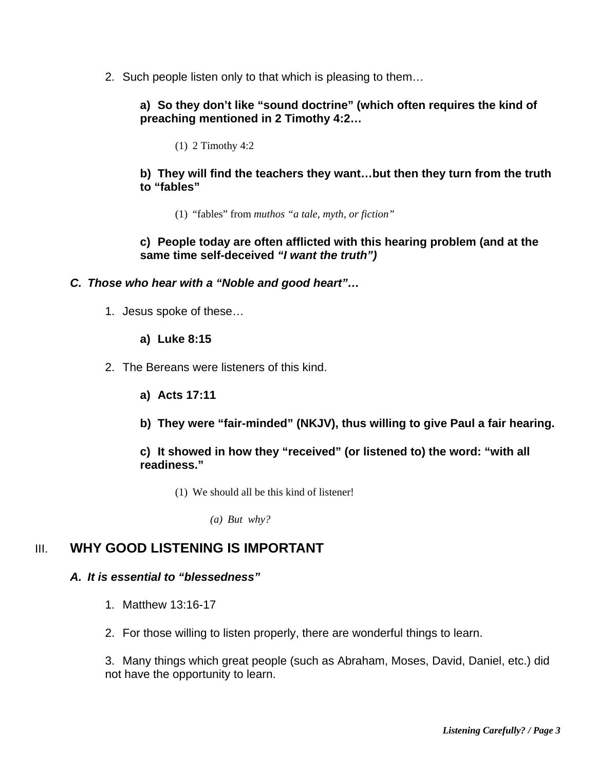2. Such people listen only to that which is pleasing to them…

# **a) So they don't like "sound doctrine" (which often requires the kind of preaching mentioned in 2 Timothy 4:2…**

(1) 2 Timothy 4:2

#### **b) They will find the teachers they want…but then they turn from the truth to "fables"**

(1) "fables" from *muthos "a tale, myth, or fiction"*

#### **c) People today are often afflicted with this hearing problem (and at the same time self-deceived** *"I want the truth")*

#### *C. Those who hear with a "Noble and good heart"…*

1. Jesus spoke of these…

#### **a) Luke 8:15**

- 2. The Bereans were listeners of this kind.
	- **a) Acts 17:11**
	- **b) They were "fair-minded" (NKJV), thus willing to give Paul a fair hearing.**

#### **c) It showed in how they "received" (or listened to) the word: "with all readiness."**

(1) We should all be this kind of listener!

*(a) But why?* 

# III. **WHY GOOD LISTENING IS IMPORTANT**

#### *A. It is essential to "blessedness"*

- 1. Matthew 13:16-17
- 2. For those willing to listen properly, there are wonderful things to learn.

3. Many things which great people (such as Abraham, Moses, David, Daniel, etc.) did not have the opportunity to learn.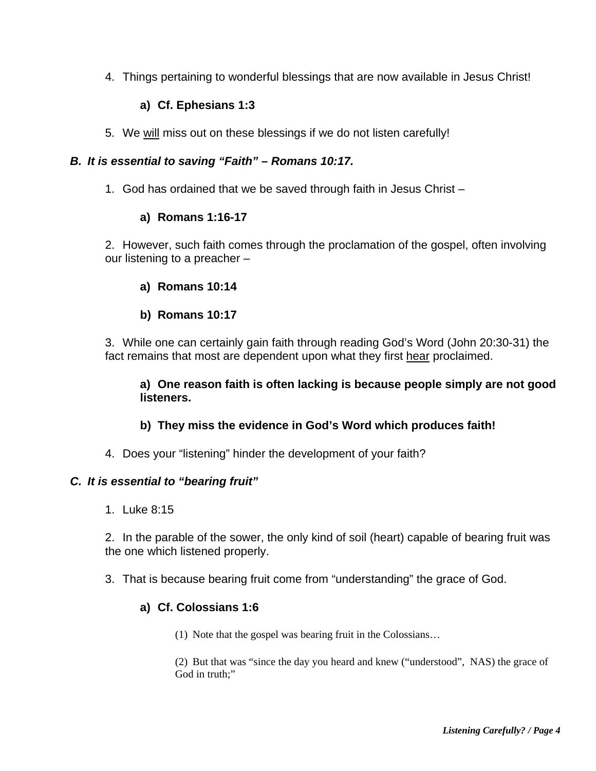4. Things pertaining to wonderful blessings that are now available in Jesus Christ!

# **a) Cf. Ephesians 1:3**

5. We will miss out on these blessings if we do not listen carefully!

# *B. It is essential to saving "Faith" – Romans 10:17.*

1. God has ordained that we be saved through faith in Jesus Christ –

# **a) Romans 1:16-17**

2. However, such faith comes through the proclamation of the gospel, often involving our listening to a preacher –

#### **a) Romans 10:14**

#### **b) Romans 10:17**

3. While one can certainly gain faith through reading God's Word (John 20:30-31) the fact remains that most are dependent upon what they first hear proclaimed.

**a) One reason faith is often lacking is because people simply are not good listeners.** 

# **b) They miss the evidence in God's Word which produces faith!**

4. Does your "listening" hinder the development of your faith?

#### *C. It is essential to "bearing fruit"*

1. Luke 8:15

2. In the parable of the sower, the only kind of soil (heart) capable of bearing fruit was the one which listened properly.

3. That is because bearing fruit come from "understanding" the grace of God.

# **a) Cf. Colossians 1:6**

(1) Note that the gospel was bearing fruit in the Colossians…

(2) But that was "since the day you heard and knew ("understood", NAS) the grace of God in truth;"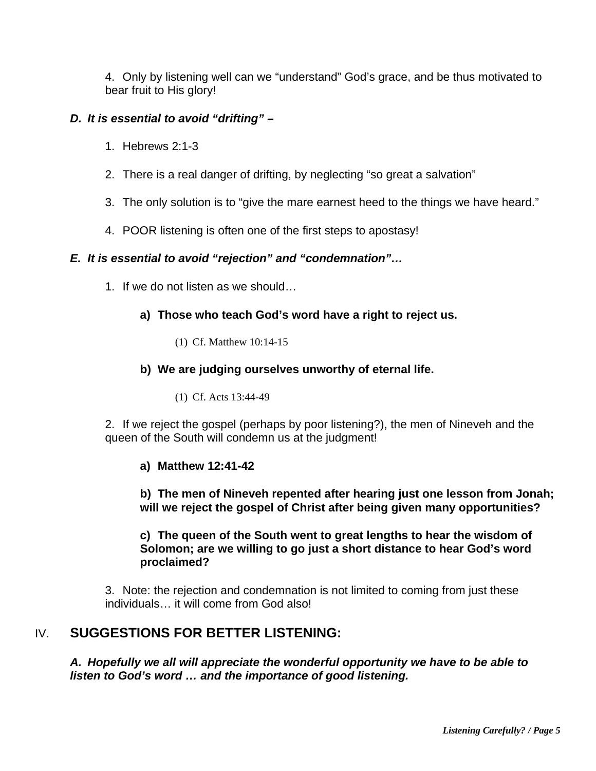4. Only by listening well can we "understand" God's grace, and be thus motivated to bear fruit to His glory!

# *D. It is essential to avoid "drifting" –*

- 1. Hebrews 2:1-3
- 2. There is a real danger of drifting, by neglecting "so great a salvation"
- 3. The only solution is to "give the mare earnest heed to the things we have heard."
- 4. POOR listening is often one of the first steps to apostasy!

# *E. It is essential to avoid "rejection" and "condemnation"…*

1. If we do not listen as we should…

# **a) Those who teach God's word have a right to reject us.**

(1) Cf. Matthew 10:14-15

# **b) We are judging ourselves unworthy of eternal life.**

(1) Cf. Acts 13:44-49

2. If we reject the gospel (perhaps by poor listening?), the men of Nineveh and the queen of the South will condemn us at the judgment!

# **a) Matthew 12:41-42**

**b) The men of Nineveh repented after hearing just one lesson from Jonah; will we reject the gospel of Christ after being given many opportunities?** 

**c) The queen of the South went to great lengths to hear the wisdom of Solomon; are we willing to go just a short distance to hear God's word proclaimed?** 

3. Note: the rejection and condemnation is not limited to coming from just these individuals… it will come from God also!

# IV. **SUGGESTIONS FOR BETTER LISTENING:**

*A. Hopefully we all will appreciate the wonderful opportunity we have to be able to listen to God's word … and the importance of good listening.*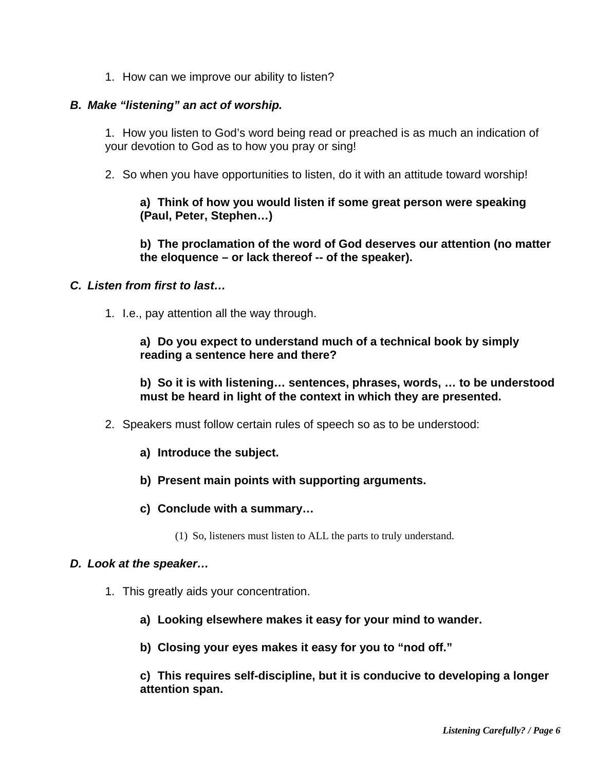1. How can we improve our ability to listen?

#### *B. Make "listening" an act of worship.*

1. How you listen to God's word being read or preached is as much an indication of your devotion to God as to how you pray or sing!

2. So when you have opportunities to listen, do it with an attitude toward worship!

#### **a) Think of how you would listen if some great person were speaking (Paul, Peter, Stephen…)**

**b) The proclamation of the word of God deserves our attention (no matter the eloquence – or lack thereof -- of the speaker).** 

# *C. Listen from first to last…*

1. I.e., pay attention all the way through.

#### **a) Do you expect to understand much of a technical book by simply reading a sentence here and there?**

**b) So it is with listening… sentences, phrases, words, … to be understood must be heard in light of the context in which they are presented.** 

- 2. Speakers must follow certain rules of speech so as to be understood:
	- **a) Introduce the subject.**
	- **b) Present main points with supporting arguments.**
	- **c) Conclude with a summary…** 
		- (1) So, listeners must listen to ALL the parts to truly understand.

#### *D. Look at the speaker…*

- 1. This greatly aids your concentration.
	- **a) Looking elsewhere makes it easy for your mind to wander.**
	- **b) Closing your eyes makes it easy for you to "nod off."**

**c) This requires self-discipline, but it is conducive to developing a longer attention span.**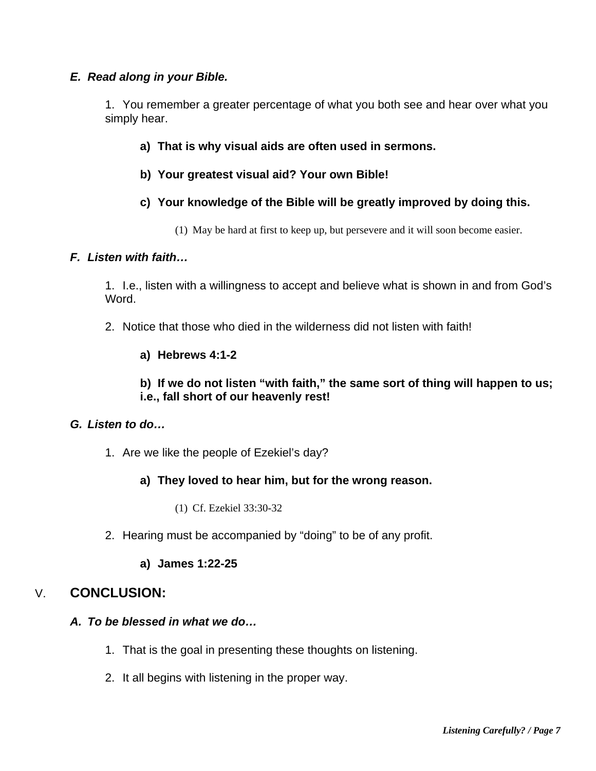# *E. Read along in your Bible.*

1. You remember a greater percentage of what you both see and hear over what you simply hear.

- **a) That is why visual aids are often used in sermons.**
- **b) Your greatest visual aid? Your own Bible!**

# **c) Your knowledge of the Bible will be greatly improved by doing this.**

(1) May be hard at first to keep up, but persevere and it will soon become easier.

# *F. Listen with faith…*

1. I.e., listen with a willingness to accept and believe what is shown in and from God's Word.

- 2. Notice that those who died in the wilderness did not listen with faith!
	- **a) Hebrews 4:1-2**

# **b) If we do not listen "with faith," the same sort of thing will happen to us; i.e., fall short of our heavenly rest!**

# *G. Listen to do…*

1. Are we like the people of Ezekiel's day?

# **a) They loved to hear him, but for the wrong reason.**

- (1) Cf. Ezekiel 33:30-32
- 2. Hearing must be accompanied by "doing" to be of any profit.

#### **a) James 1:22-25**

# V. **CONCLUSION:**

# *A. To be blessed in what we do…*

- 1. That is the goal in presenting these thoughts on listening.
- 2. It all begins with listening in the proper way.